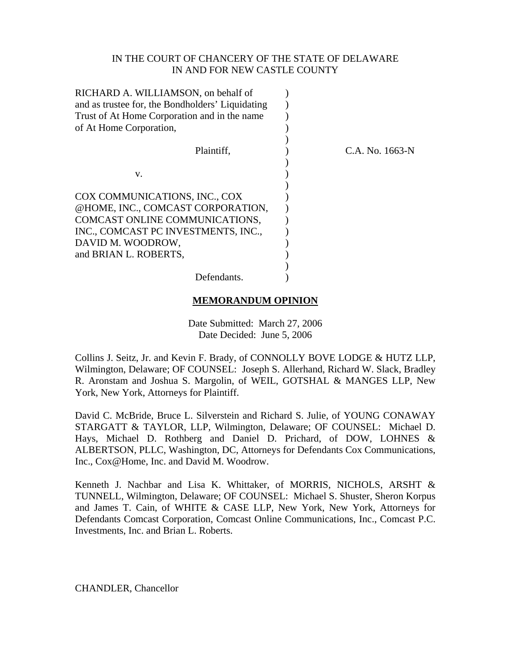#### IN THE COURT OF CHANCERY OF THE STATE OF DELAWARE IN AND FOR NEW CASTLE COUNTY

| RICHARD A. WILLIAMSON, on behalf of<br>and as trustee for, the Bondholders' Liquidating<br>Trust of At Home Corporation and in the name<br>of At Home Corporation,                        |                 |
|-------------------------------------------------------------------------------------------------------------------------------------------------------------------------------------------|-----------------|
| Plaintiff,                                                                                                                                                                                | C.A. No. 1663-N |
| V.                                                                                                                                                                                        |                 |
| COX COMMUNICATIONS, INC., COX<br>@HOME, INC., COMCAST CORPORATION,<br>COMCAST ONLINE COMMUNICATIONS,<br>INC., COMCAST PC INVESTMENTS, INC.,<br>DAVID M. WOODROW,<br>and BRIAN L. ROBERTS, |                 |
| Defendants.                                                                                                                                                                               |                 |

#### **MEMORANDUM OPINION**

Date Submitted: March 27, 2006 Date Decided: June 5, 2006

Collins J. Seitz, Jr. and Kevin F. Brady, of CONNOLLY BOVE LODGE & HUTZ LLP, Wilmington, Delaware; OF COUNSEL: Joseph S. Allerhand, Richard W. Slack, Bradley R. Aronstam and Joshua S. Margolin, of WEIL, GOTSHAL & MANGES LLP, New York, New York, Attorneys for Plaintiff.

David C. McBride, Bruce L. Silverstein and Richard S. Julie, of YOUNG CONAWAY STARGATT & TAYLOR, LLP, Wilmington, Delaware; OF COUNSEL: Michael D. Hays, Michael D. Rothberg and Daniel D. Prichard, of DOW, LOHNES & ALBERTSON, PLLC, Washington, DC, Attorneys for Defendants Cox Communications, Inc., Cox@Home, Inc. and David M. Woodrow.

Kenneth J. Nachbar and Lisa K. Whittaker, of MORRIS, NICHOLS, ARSHT & TUNNELL, Wilmington, Delaware; OF COUNSEL: Michael S. Shuster, Sheron Korpus and James T. Cain, of WHITE & CASE LLP, New York, New York, Attorneys for Defendants Comcast Corporation, Comcast Online Communications, Inc., Comcast P.C. Investments, Inc. and Brian L. Roberts.

CHANDLER, Chancellor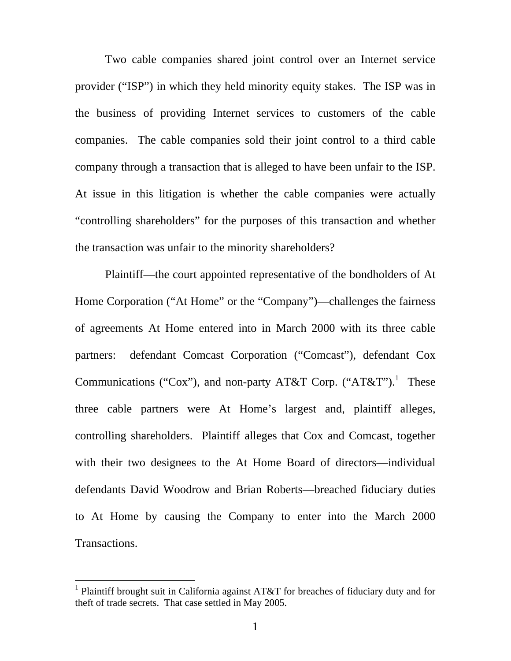Two cable companies shared joint control over an Internet service provider ("ISP") in which they held minority equity stakes. The ISP was in the business of providing Internet services to customers of the cable companies. The cable companies sold their joint control to a third cable company through a transaction that is alleged to have been unfair to the ISP. At issue in this litigation is whether the cable companies were actually "controlling shareholders" for the purposes of this transaction and whether the transaction was unfair to the minority shareholders?

Plaintiff—the court appointed representative of the bondholders of At Home Corporation ("At Home" or the "Company")—challenges the fairness of agreements At Home entered into in March 2000 with its three cable partners: defendant Comcast Corporation ("Comcast"), defendant Cox Communications ("Cox"), and non-party AT&T Corp. ("AT&T").<sup>[1](#page-1-0)</sup> These three cable partners were At Home's largest and, plaintiff alleges, controlling shareholders. Plaintiff alleges that Cox and Comcast, together with their two designees to the At Home Board of directors—individual defendants David Woodrow and Brian Roberts—breached fiduciary duties to At Home by causing the Company to enter into the March 2000 Transactions.

<span id="page-1-0"></span><sup>&</sup>lt;sup>1</sup> Plaintiff brought suit in California against AT&T for breaches of fiduciary duty and for theft of trade secrets. That case settled in May 2005.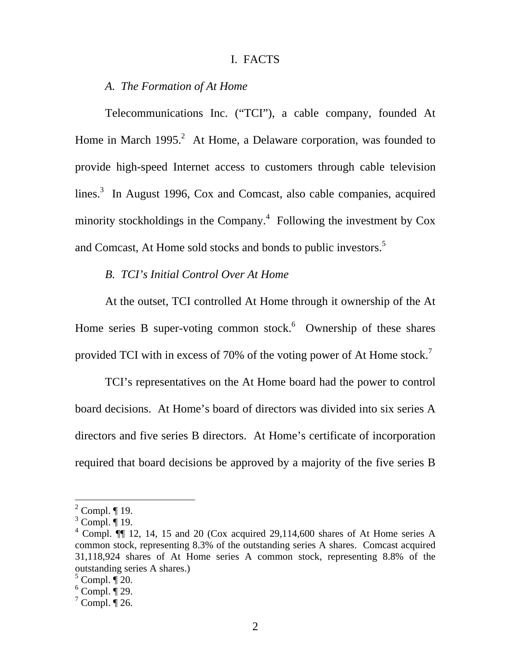#### I. FACTS

#### *A. The Formation of At Home*

Telecommunications Inc. ("TCI"), a cable company, founded At Home in March  $1995.<sup>2</sup>$  $1995.<sup>2</sup>$  $1995.<sup>2</sup>$  At Home, a Delaware corporation, was founded to provide high-speed Internet access to customers through cable television lines. $3$  In August 1996, Cox and Comcast, also cable companies, acquired minority stockholdings in the Company.<sup>[4](#page-2-2)</sup> Following the investment by  $\cos$ and Comcast, At Home sold stocks and bonds to public investors.<sup>[5](#page-2-3)</sup>

### *B. TCI's Initial Control Over At Home*

At the outset, TCI controlled At Home through it ownership of the At Home series B super-voting common stock. $6$  Ownership of these shares provided TCI with in excess of [7](#page-2-5)0% of the voting power of At Home stock.<sup>7</sup>

TCI's representatives on the At Home board had the power to control board decisions. At Home's board of directors was divided into six series A directors and five series B directors. At Home's certificate of incorporation required that board decisions be approved by a majority of the five series B

<span id="page-2-0"></span> $2^2$  Compl.  $\P$  19.

<span id="page-2-1"></span> $3$  Compl.  $\overline{\P}$  19.

<span id="page-2-2"></span> $4$  Compl.  $\P\P$  12, 14, 15 and 20 (Cox acquired 29,114,600 shares of At Home series A common stock, representing 8.3% of the outstanding series A shares. Comcast acquired 31,118,924 shares of At Home series A common stock, representing 8.8% of the outstanding series A shares.)

<span id="page-2-3"></span> $5$  Compl.  $\P$  20.

<span id="page-2-4"></span> $6$  Compl.  $\overline{\P}$  29.

<span id="page-2-5"></span> $\sqrt{7}$  Compl.  $\sqrt{26}$ .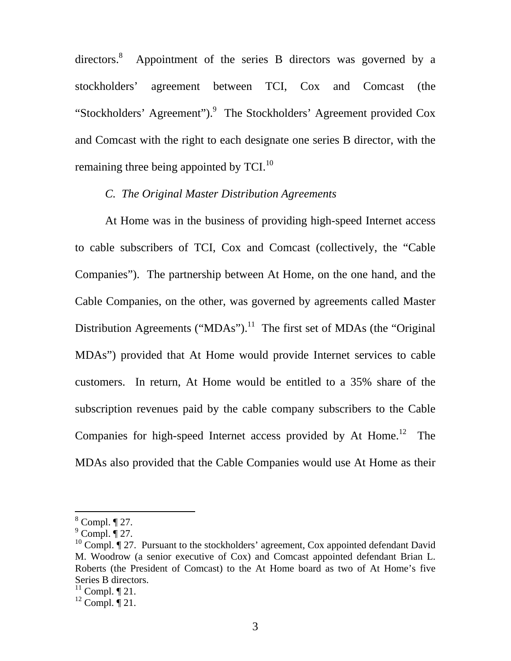directors.<sup>[8](#page-3-0)</sup> Appointment of the series B directors was governed by a stockholders' agreement between TCI, Cox and Comcast (the "Stockholders' Agreement").<sup>[9](#page-3-1)</sup> The Stockholders' Agreement provided Cox and Comcast with the right to each designate one series B director, with the remaining three being appointed by  $TCL$ <sup>10</sup>

## *C. The Original Master Distribution Agreements*

At Home was in the business of providing high-speed Internet access to cable subscribers of TCI, Cox and Comcast (collectively, the "Cable Companies"). The partnership between At Home, on the one hand, and the Cable Companies, on the other, was governed by agreements called Master Distribution Agreements ("MDAs").<sup>11</sup> The first set of MDAs (the "Original" MDAs") provided that At Home would provide Internet services to cable customers. In return, At Home would be entitled to a 35% share of the subscription revenues paid by the cable company subscribers to the Cable Companies for high-speed Internet access provided by At Home.<sup>12</sup> The MDAs also provided that the Cable Companies would use At Home as their

<span id="page-3-0"></span> $8$  Compl.  $\P$  27.

<span id="page-3-1"></span> $^9$  Compl.  $\overline{\P}$  27.

<span id="page-3-2"></span><sup>&</sup>lt;sup>10</sup> Compl.  $\P$  27. Pursuant to the stockholders' agreement, Cox appointed defendant David M. Woodrow (a senior executive of Cox) and Comcast appointed defendant Brian L. Roberts (the President of Comcast) to the At Home board as two of At Home's five Series B directors.

<span id="page-3-3"></span> $^{11}$  Compl. ¶ 21.

<span id="page-3-4"></span> $12$  Compl.  $\P$  21.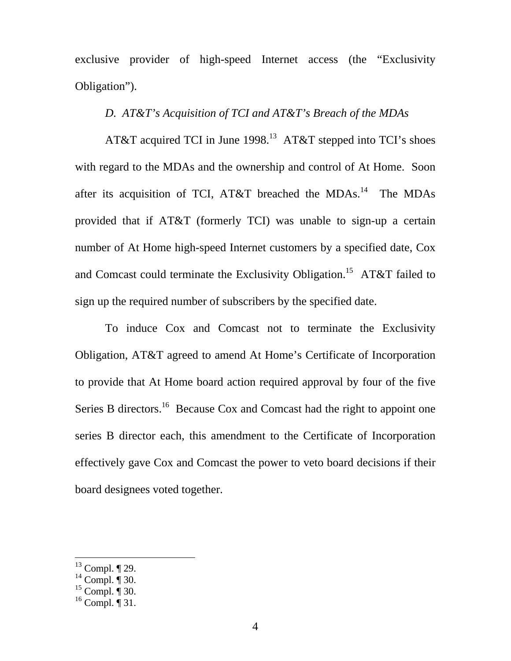exclusive provider of high-speed Internet access (the "Exclusivity Obligation").

## *D. AT&T's Acquisition of TCI and AT&T's Breach of the MDAs*

AT&T acquired TCI in June 1998.<sup>13</sup> AT&T stepped into TCI's shoes with regard to the MDAs and the ownership and control of At Home. Soon after its acquisition of TCI, AT&T breached the MDAs.<sup>14</sup> The MDAs provided that if AT&T (formerly TCI) was unable to sign-up a certain number of At Home high-speed Internet customers by a specified date, Cox and Comcast could terminate the Exclusivity Obligation.<sup>15</sup> AT&T failed to sign up the required number of subscribers by the specified date.

To induce Cox and Comcast not to terminate the Exclusivity Obligation, AT&T agreed to amend At Home's Certificate of Incorporation to provide that At Home board action required approval by four of the five Series B directors.<sup>16</sup> Because Cox and Comcast had the right to appoint one series B director each, this amendment to the Certificate of Incorporation effectively gave Cox and Comcast the power to veto board decisions if their board designees voted together.

<span id="page-4-0"></span> $13$  Compl.  $\P$  29.

<span id="page-4-1"></span> $14$  Compl.  $\overline{\P}$  30.

<span id="page-4-2"></span> $15$  Compl. ¶ 30.

<span id="page-4-3"></span> $16$  Compl. | 31.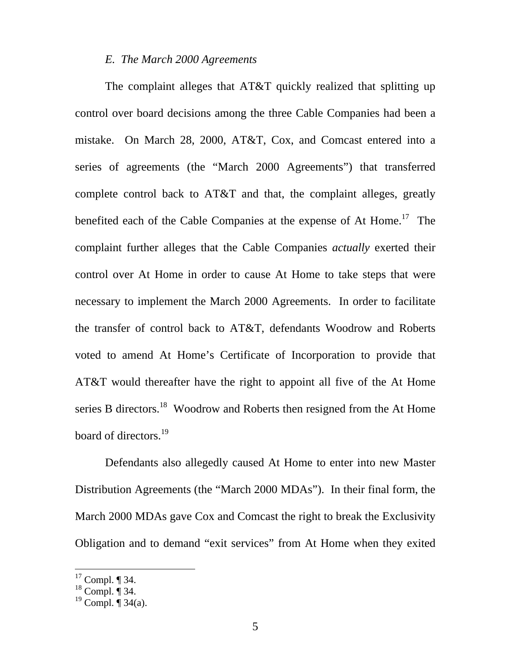### *E. The March 2000 Agreements*

The complaint alleges that AT&T quickly realized that splitting up control over board decisions among the three Cable Companies had been a mistake. On March 28, 2000, AT&T, Cox, and Comcast entered into a series of agreements (the "March 2000 Agreements") that transferred complete control back to AT&T and that, the complaint alleges, greatly benefited each of the Cable Companies at the expense of At Home.<sup>17</sup> The complaint further alleges that the Cable Companies *actually* exerted their control over At Home in order to cause At Home to take steps that were necessary to implement the March 2000 Agreements. In order to facilitate the transfer of control back to AT&T, defendants Woodrow and Roberts voted to amend At Home's Certificate of Incorporation to provide that AT&T would thereafter have the right to appoint all five of the At Home series B directors.<sup>18</sup> Woodrow and Roberts then resigned from the At Home board of directors.<sup>[19](#page-5-2)</sup>

Defendants also allegedly caused At Home to enter into new Master Distribution Agreements (the "March 2000 MDAs"). In their final form, the March 2000 MDAs gave Cox and Comcast the right to break the Exclusivity Obligation and to demand "exit services" from At Home when they exited

<span id="page-5-0"></span> $17$  Compl. ¶ 34.

<span id="page-5-1"></span> $18$  Compl.  $\overline{\P}$  34.

<span id="page-5-2"></span><sup>&</sup>lt;sup>19</sup> Compl.  $\P$  34(a).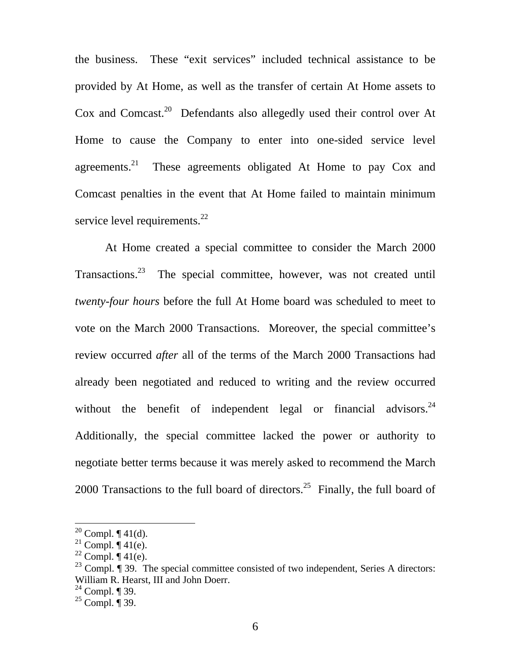the business. These "exit services" included technical assistance to be provided by At Home, as well as the transfer of certain At Home assets to Cox and Comcast.<sup>20</sup> Defendants also allegedly used their control over At Home to cause the Company to enter into one-sided service level agreements. $21$  These agreements obligated At Home to pay Cox and Comcast penalties in the event that At Home failed to maintain minimum service level requirements. $^{22}$ 

At Home created a special committee to consider the March 2000 Transactions[.23](#page-6-3) The special committee, however, was not created until *twenty-four hours* before the full At Home board was scheduled to meet to vote on the March 2000 Transactions. Moreover, the special committee's review occurred *after* all of the terms of the March 2000 Transactions had already been negotiated and reduced to writing and the review occurred without the benefit of independent legal or financial advisors.  $24$ Additionally, the special committee lacked the power or authority to negotiate better terms because it was merely asked to recommend the March 2000 Transactions to the full board of directors.<sup>25</sup> Finally, the full board of

<span id="page-6-0"></span><sup>&</sup>lt;sup>20</sup> Compl.  $\P$  41(d).

<span id="page-6-1"></span><sup>&</sup>lt;sup>21</sup> Compl.  $\P$  41(e).

<span id="page-6-2"></span><sup>&</sup>lt;sup>22</sup> Compl.  $\P$  41(e).

<span id="page-6-3"></span><sup>&</sup>lt;sup>23</sup> Compl.  $\sqrt{ }$  39. The special committee consisted of two independent, Series A directors: William R. Hearst, III and John Doerr.

<span id="page-6-4"></span> $24$  Compl. ¶ 39.

<span id="page-6-5"></span> $^{25}$  Compl.  $\overline{9}$  39.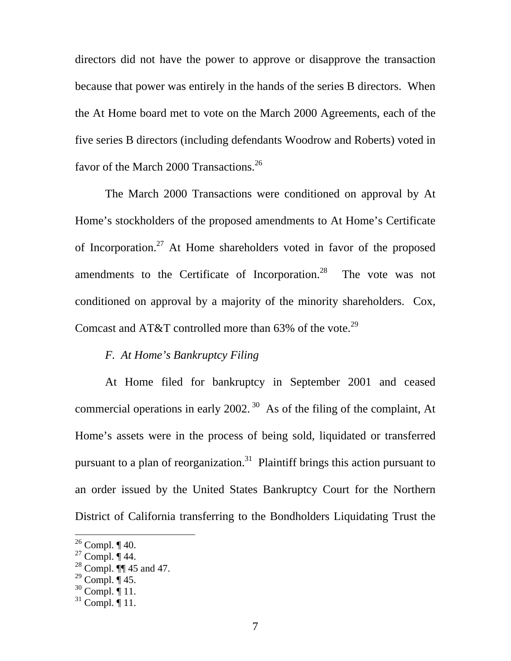directors did not have the power to approve or disapprove the transaction because that power was entirely in the hands of the series B directors. When the At Home board met to vote on the March 2000 Agreements, each of the five series B directors (including defendants Woodrow and Roberts) voted in favor of the March 2000 Transactions.<sup>26</sup>

The March 2000 Transactions were conditioned on approval by At Home's stockholders of the proposed amendments to At Home's Certificate of Incorporation.[27](#page-7-1) At Home shareholders voted in favor of the proposed amendments to the Certificate of Incorporation.<sup>28</sup> The vote was not conditioned on approval by a majority of the minority shareholders. Cox, Comcast and AT&T controlled more than 63% of the vote.<sup>[29](#page-7-3)</sup>

## *F. At Home's Bankruptcy Filing*

At Home filed for bankruptcy in September 2001 and ceased commercial operations in early 2002.<sup>30</sup> As of the filing of the complaint, At Home's assets were in the process of being sold, liquidated or transferred pursuant to a plan of reorganization.<sup>31</sup> Plaintiff brings this action pursuant to an order issued by the United States Bankruptcy Court for the Northern District of California transferring to the Bondholders Liquidating Trust the

<span id="page-7-0"></span> $26$  Compl.  $\P$  40.

<span id="page-7-1"></span> $27$  Compl.  $\P$  44.

<span id="page-7-2"></span> $28$  Compl.  $\P$  45 and 47.

<span id="page-7-3"></span> $^{29}$  Compl.  $\P$  45.

<span id="page-7-4"></span> $30$  Compl.  $\overline{$  11.

<span id="page-7-5"></span> $31$  Compl.  $\P$  11.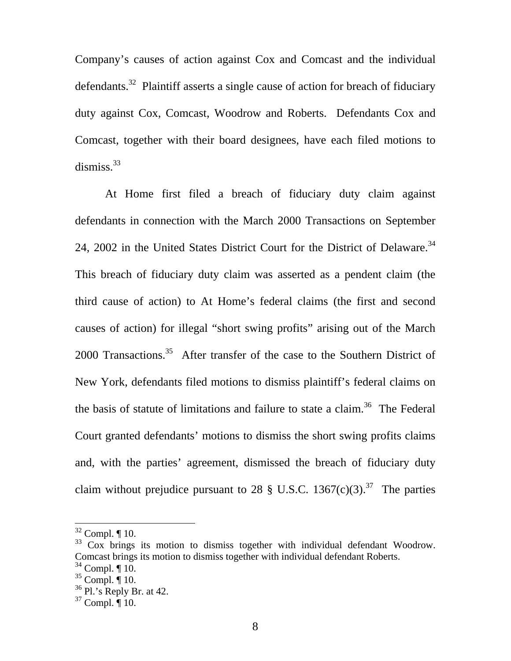Company's causes of action against Cox and Comcast and the individual defendants.<sup>32</sup> Plaintiff asserts a single cause of action for breach of fiduciary duty against Cox, Comcast, Woodrow and Roberts. Defendants Cox and Comcast, together with their board designees, have each filed motions to dismiss. $33$ 

At Home first filed a breach of fiduciary duty claim against defendants in connection with the March 2000 Transactions on September 24, 2002 in the United States District Court for the District of Delaware.<sup>34</sup> This breach of fiduciary duty claim was asserted as a pendent claim (the third cause of action) to At Home's federal claims (the first and second causes of action) for illegal "short swing profits" arising out of the March 2000 Transactions.<sup>35</sup> After transfer of the case to the Southern District of New York, defendants filed motions to dismiss plaintiff's federal claims on the basis of statute of limitations and failure to state a claim.<sup>36</sup> The Federal Court granted defendants' motions to dismiss the short swing profits claims and, with the parties' agreement, dismissed the breach of fiduciary duty claim without prejudice pursuant to 28  $\S$  U.S.C. 1367(c)(3).<sup>37</sup> The parties

<span id="page-8-0"></span> $32$  Compl. ¶ 10.

<span id="page-8-1"></span><sup>&</sup>lt;sup>33</sup> Cox brings its motion to dismiss together with individual defendant Woodrow. Comcast brings its motion to dismiss together with individual defendant Roberts.

<span id="page-8-2"></span> $34$  Compl.  $\P$  10.

<span id="page-8-3"></span> $35$  Compl.  $\overline{\P}$  10.

<span id="page-8-4"></span> $36$  Pl.'s Reply Br. at 42.

<span id="page-8-5"></span> $37$  Compl.  $\overline{9}$  10.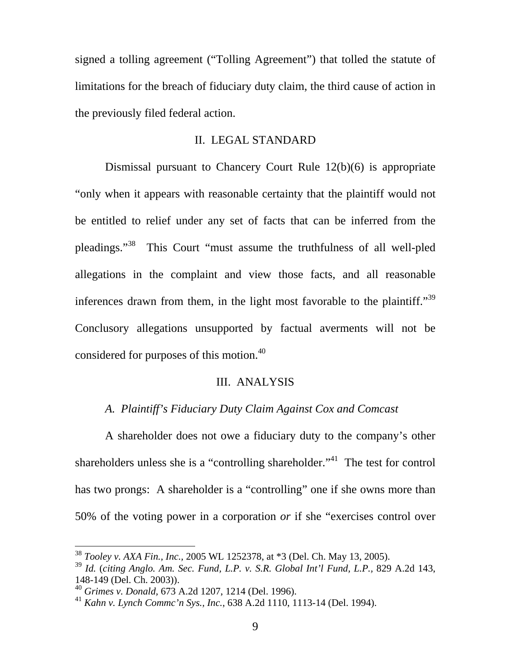signed a tolling agreement ("Tolling Agreement") that tolled the statute of limitations for the breach of fiduciary duty claim, the third cause of action in the previously filed federal action.

### II. LEGAL STANDARD

Dismissal pursuant to Chancery Court Rule 12(b)(6) is appropriate "only when it appears with reasonable certainty that the plaintiff would not be entitled to relief under any set of facts that can be inferred from the pleadings."[38](#page-9-0) This Court "must assume the truthfulness of all well-pled allegations in the complaint and view those facts, and all reasonable inferences drawn from them, in the light most favorable to the plaintiff."<sup>39</sup> Conclusory allegations unsupported by factual averments will not be considered for purposes of this motion.<sup>40</sup>

### III. ANALYSIS

## *A. Plaintiff's Fiduciary Duty Claim Against Cox and Comcast*

A shareholder does not owe a fiduciary duty to the company's other shareholders unless she is a "controlling shareholder."<sup>41</sup> The test for control has two prongs: A shareholder is a "controlling" one if she owns more than 50% of the voting power in a corporation *or* if she "exercises control over

<span id="page-9-0"></span><sup>38</sup> *Tooley v. AXA Fin., Inc.,* 2005 WL 1252378, at \*3 (Del. Ch. May 13, 2005).

<span id="page-9-1"></span><sup>39</sup> *Id.* (*citing Anglo. Am. Sec. Fund, L.P. v. S.R. Global Int'l Fund, L.P.,* 829 A.2d 143, 148-149 (Del. Ch. 2003)).

<span id="page-9-2"></span><sup>40</sup> *Grimes v. Donald,* 673 A.2d 1207, 1214 (Del. 1996).

<span id="page-9-3"></span><sup>41</sup> *Kahn v. Lynch Commc'n Sys., Inc.*, 638 A.2d 1110, 1113-14 (Del. 1994).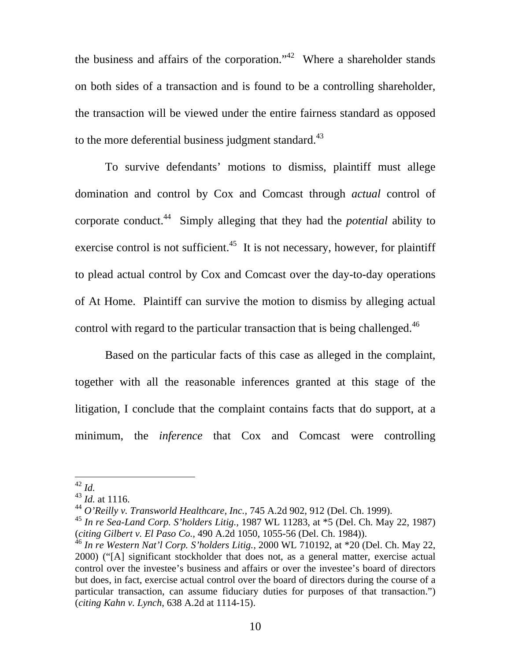the business and affairs of the corporation."<sup>42</sup> Where a shareholder stands on both sides of a transaction and is found to be a controlling shareholder, the transaction will be viewed under the entire fairness standard as opposed to the more deferential business judgment standard.<sup>43</sup>

To survive defendants' motions to dismiss, plaintiff must allege domination and control by Cox and Comcast through *actual* control of corporate conduct.[44](#page-10-2) Simply alleging that they had the *potential* ability to exercise control is not sufficient.<sup>45</sup> It is not necessary, however, for plaintiff to plead actual control by Cox and Comcast over the day-to-day operations of At Home. Plaintiff can survive the motion to dismiss by alleging actual control with regard to the particular transaction that is being challenged.<sup>[46](#page-10-4)</sup>

Based on the particular facts of this case as alleged in the complaint, together with all the reasonable inferences granted at this stage of the litigation, I conclude that the complaint contains facts that do support, at a minimum, the *inference* that Cox and Comcast were controlling

<span id="page-10-0"></span><sup>42</sup> *Id.*

<span id="page-10-1"></span><sup>43</sup> *Id.* at 1116.

<span id="page-10-2"></span><sup>44</sup> *O'Reilly v. Transworld Healthcare, Inc.,* 745 A.2d 902, 912 (Del. Ch. 1999).

<span id="page-10-3"></span><sup>45</sup> *In re Sea-Land Corp. S'holders Litig.,* 1987 WL 11283, at \*5 (Del. Ch. May 22, 1987) (*citing Gilbert v. El Paso Co.,* 490 A.2d 1050, 1055-56 (Del. Ch. 1984)).

<span id="page-10-4"></span><sup>46</sup> *In re Western Nat'l Corp. S'holders Litig.,* 2000 WL 710192, at \*20 (Del. Ch. May 22, 2000) ("[A] significant stockholder that does not, as a general matter, exercise actual control over the investee's business and affairs or over the investee's board of directors but does, in fact, exercise actual control over the board of directors during the course of a particular transaction, can assume fiduciary duties for purposes of that transaction.") (*citing Kahn v. Lynch*, 638 A.2d at 1114-15).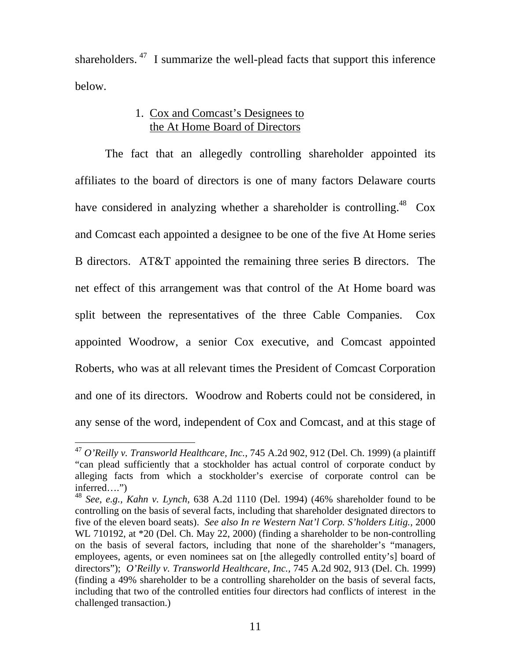shareholders.  $47$  I summarize the well-plead facts that support this inference below.

# 1. Cox and Comcast's Designees to the At Home Board of Directors

The fact that an allegedly controlling shareholder appointed its affiliates to the board of directors is one of many factors Delaware courts have considered in analyzing whether a shareholder is controlling.<sup>48</sup> Cox and Comcast each appointed a designee to be one of the five At Home series B directors. AT&T appointed the remaining three series B directors. The net effect of this arrangement was that control of the At Home board was split between the representatives of the three Cable Companies. Cox appointed Woodrow, a senior Cox executive, and Comcast appointed Roberts, who was at all relevant times the President of Comcast Corporation and one of its directors. Woodrow and Roberts could not be considered, in any sense of the word, independent of Cox and Comcast, and at this stage of

<span id="page-11-0"></span><sup>47</sup> *O'Reilly v. Transworld Healthcare, Inc.,* 745 A.2d 902, 912 (Del. Ch. 1999) (a plaintiff "can plead sufficiently that a stockholder has actual control of corporate conduct by alleging facts from which a stockholder's exercise of corporate control can be inferred….")

<span id="page-11-1"></span><sup>48</sup> *See, e.g., Kahn v. Lynch*, 638 A.2d 1110 (Del. 1994) (46% shareholder found to be controlling on the basis of several facts, including that shareholder designated directors to five of the eleven board seats). *See also In re Western Nat'l Corp. S'holders Litig.,* 2000 WL 710192, at  $*20$  (Del. Ch. May 22, 2000) (finding a shareholder to be non-controlling on the basis of several factors, including that none of the shareholder's "managers, employees, agents, or even nominees sat on [the allegedly controlled entity's] board of directors"); *O'Reilly v. Transworld Healthcare, Inc.,* 745 A.2d 902, 913 (Del. Ch. 1999) (finding a 49% shareholder to be a controlling shareholder on the basis of several facts, including that two of the controlled entities four directors had conflicts of interest in the challenged transaction.)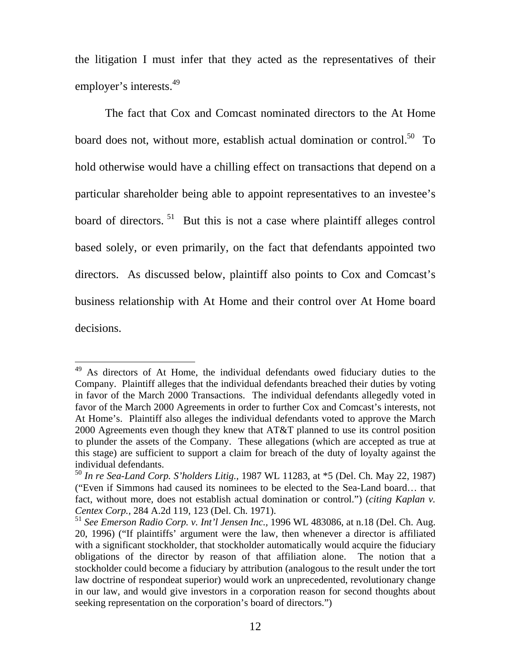the litigation I must infer that they acted as the representatives of their employer's interests.<sup>49</sup>

The fact that Cox and Comcast nominated directors to the At Home board does not, without more, establish actual domination or control.<sup>50</sup> To hold otherwise would have a chilling effect on transactions that depend on a particular shareholder being able to appoint representatives to an investee's board of directors.<sup>51</sup> But this is not a case where plaintiff alleges control based solely, or even primarily, on the fact that defendants appointed two directors. As discussed below, plaintiff also points to Cox and Comcast's business relationship with At Home and their control over At Home board decisions.

<span id="page-12-0"></span><sup>&</sup>lt;sup>49</sup> As directors of At Home, the individual defendants owed fiduciary duties to the Company. Plaintiff alleges that the individual defendants breached their duties by voting in favor of the March 2000 Transactions. The individual defendants allegedly voted in favor of the March 2000 Agreements in order to further Cox and Comcast's interests, not At Home's. Plaintiff also alleges the individual defendants voted to approve the March 2000 Agreements even though they knew that AT&T planned to use its control position to plunder the assets of the Company. These allegations (which are accepted as true at this stage) are sufficient to support a claim for breach of the duty of loyalty against the individual defendants.

<span id="page-12-1"></span><sup>50</sup> *In re Sea-Land Corp. S'holders Litig.,* 1987 WL 11283, at \*5 (Del. Ch. May 22, 1987) ("Even if Simmons had caused its nominees to be elected to the Sea-Land board… that fact, without more, does not establish actual domination or control.") (*citing Kaplan v. Centex Corp.,* 284 A.2d 119, 123 (Del. Ch. 1971).

<span id="page-12-2"></span><sup>51</sup> *See Emerson Radio Corp. v. Int'l Jensen Inc.,* 1996 WL 483086, at n.18 (Del. Ch. Aug. 20, 1996) ("If plaintiffs' argument were the law, then whenever a director is affiliated with a significant stockholder, that stockholder automatically would acquire the fiduciary obligations of the director by reason of that affiliation alone. The notion that a stockholder could become a fiduciary by attribution (analogous to the result under the tort law doctrine of respondeat superior) would work an unprecedented, revolutionary change in our law, and would give investors in a corporation reason for second thoughts about seeking representation on the corporation's board of directors.")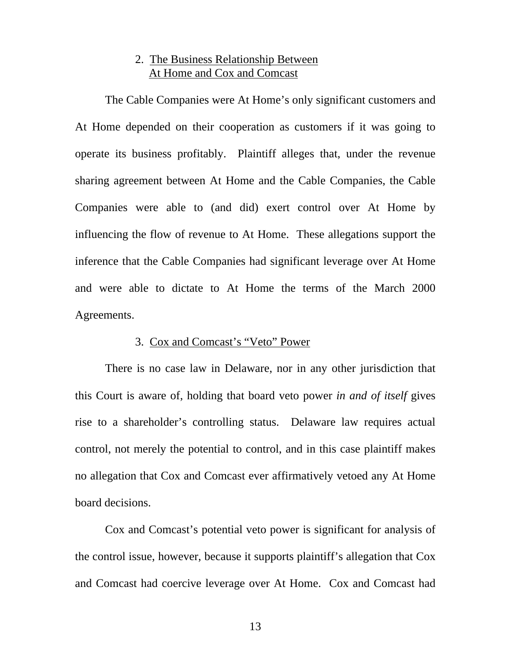# 2. The Business Relationship Between At Home and Cox and Comcast

The Cable Companies were At Home's only significant customers and At Home depended on their cooperation as customers if it was going to operate its business profitably. Plaintiff alleges that, under the revenue sharing agreement between At Home and the Cable Companies, the Cable Companies were able to (and did) exert control over At Home by influencing the flow of revenue to At Home. These allegations support the inference that the Cable Companies had significant leverage over At Home and were able to dictate to At Home the terms of the March 2000 Agreements.

### 3. Cox and Comcast's "Veto" Power

There is no case law in Delaware, nor in any other jurisdiction that this Court is aware of, holding that board veto power *in and of itself* gives rise to a shareholder's controlling status. Delaware law requires actual control, not merely the potential to control, and in this case plaintiff makes no allegation that Cox and Comcast ever affirmatively vetoed any At Home board decisions.

Cox and Comcast's potential veto power is significant for analysis of the control issue, however, because it supports plaintiff's allegation that Cox and Comcast had coercive leverage over At Home. Cox and Comcast had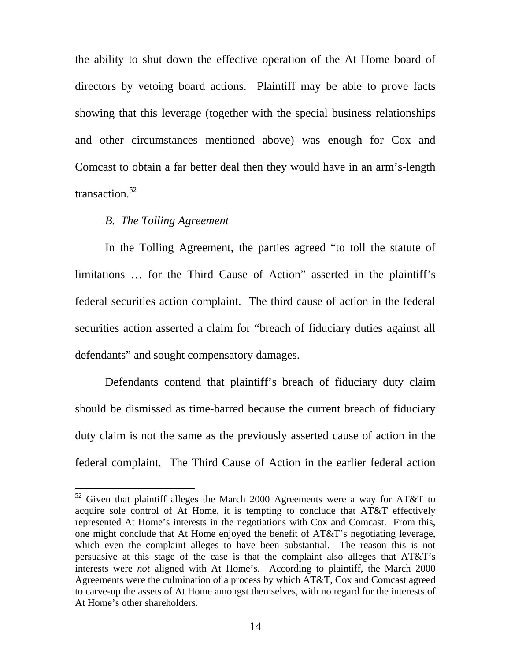the ability to shut down the effective operation of the At Home board of directors by vetoing board actions. Plaintiff may be able to prove facts showing that this leverage (together with the special business relationships and other circumstances mentioned above) was enough for Cox and Comcast to obtain a far better deal then they would have in an arm's-length transaction.<sup>52</sup>

## *B. The Tolling Agreement*

 $\overline{a}$ 

In the Tolling Agreement, the parties agreed "to toll the statute of limitations … for the Third Cause of Action" asserted in the plaintiff's federal securities action complaint. The third cause of action in the federal securities action asserted a claim for "breach of fiduciary duties against all defendants" and sought compensatory damages.

Defendants contend that plaintiff's breach of fiduciary duty claim should be dismissed as time-barred because the current breach of fiduciary duty claim is not the same as the previously asserted cause of action in the federal complaint. The Third Cause of Action in the earlier federal action

<span id="page-14-0"></span> $52$  Given that plaintiff alleges the March 2000 Agreements were a way for AT&T to acquire sole control of At Home, it is tempting to conclude that AT&T effectively represented At Home's interests in the negotiations with Cox and Comcast. From this, one might conclude that At Home enjoyed the benefit of AT&T's negotiating leverage, which even the complaint alleges to have been substantial. The reason this is not persuasive at this stage of the case is that the complaint also alleges that AT&T's interests were *not* aligned with At Home's. According to plaintiff, the March 2000 Agreements were the culmination of a process by which AT&T, Cox and Comcast agreed to carve-up the assets of At Home amongst themselves, with no regard for the interests of At Home's other shareholders.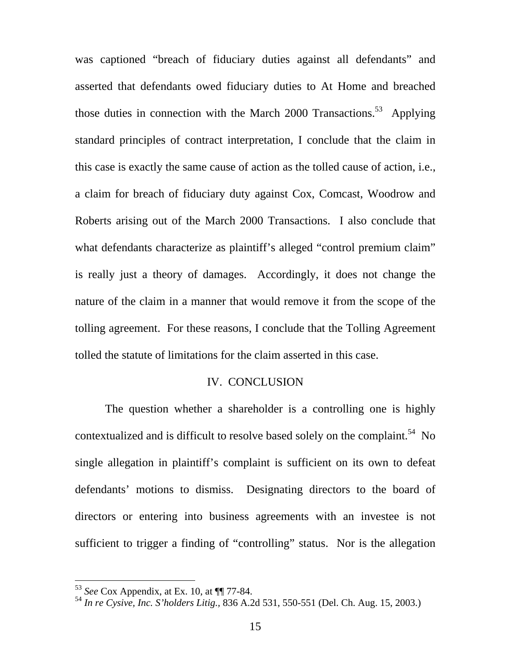was captioned "breach of fiduciary duties against all defendants" and asserted that defendants owed fiduciary duties to At Home and breached those duties in connection with the March 2000 Transactions.<sup>53</sup> Applying standard principles of contract interpretation, I conclude that the claim in this case is exactly the same cause of action as the tolled cause of action, i.e., a claim for breach of fiduciary duty against Cox, Comcast, Woodrow and Roberts arising out of the March 2000 Transactions. I also conclude that what defendants characterize as plaintiff's alleged "control premium claim" is really just a theory of damages. Accordingly, it does not change the nature of the claim in a manner that would remove it from the scope of the tolling agreement. For these reasons, I conclude that the Tolling Agreement tolled the statute of limitations for the claim asserted in this case.

### IV. CONCLUSION

The question whether a shareholder is a controlling one is highly contextualized and is difficult to resolve based solely on the complaint.<sup>54</sup> No single allegation in plaintiff's complaint is sufficient on its own to defeat defendants' motions to dismiss. Designating directors to the board of directors or entering into business agreements with an investee is not sufficient to trigger a finding of "controlling" status. Nor is the allegation

<span id="page-15-0"></span><sup>53</sup> *See* Cox Appendix, at Ex. 10, at ¶¶ 77-84.

<span id="page-15-1"></span><sup>54</sup> *In re Cysive, Inc. S'holders Litig.,* 836 A.2d 531, 550-551 (Del. Ch. Aug. 15, 2003.)